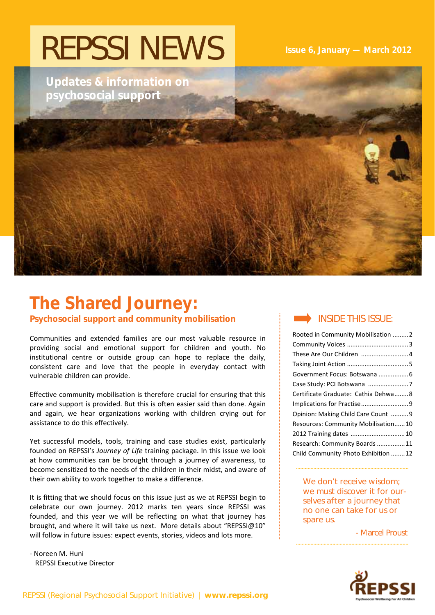# REPSSI NEWS

**Updates & information on psychosocial support** 

 **Issue 6, January — March 2012** 

# **The Shared Journey:**

**Psychosocial support and community mobilisation** 

Communities and extended families are our most valuable resource in providing social and emotional support for children and youth. No institutional centre or outside group can hope to replace the daily, consistent care and love that the people in everyday contact with vulnerable children can provide.

Effective community mobilisation is therefore crucial for ensuring that this care and support is provided. But this is often easier said than done. Again and again, we hear organizations working with children crying out for assistance to do this effectively.

Yet successful models, tools, training and case studies exist, particularly founded on REPSSI's *Journey of Life* training package. In this issue we look at how communities can be brought through a journey of awareness, to become sensitized to the needs of the children in their midst, and aware of their own ability to work together to make a difference.

It is fitting that we should focus on this issue just as we at REPSSI begin to celebrate our own journey. 2012 marks ten years since REPSSI was founded, and this year we will be reflecting on what that journey has brought, and where it will take us next. More details about "REPSSI@10" will follow in future issues: expect events, stories, videos and lots more.

‐ Noreen M. Huni REPSSI Executive Director

### INSIDE THIS ISSUE:

| Rooted in Community Mobilisation 2  |
|-------------------------------------|
|                                     |
|                                     |
|                                     |
|                                     |
| Case Study: PCI Botswana 7          |
| Certificate Graduate: Cathia Dehwa8 |
|                                     |
| Opinion: Making Child Care Count  9 |
| Resources: Community Mobilisation10 |
| 2012 Training dates  10             |
| Research: Community Boards 11       |
| Child Community Photo Exhibition 12 |

We don't receive wisdom: we must discover it for ourselves after a journey that no one can take for us or spare us.

- Marcel Proust

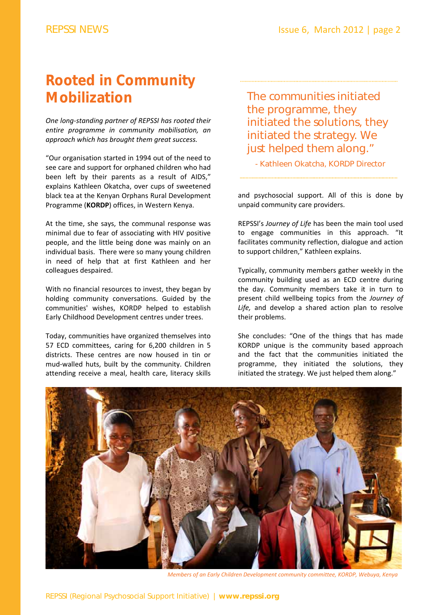# **Rooted in Community Mobilization**

*One long‐standing partner of REPSSI has rooted their entire programme in community mobilisation, an approach which has brought them great success.* 

"Our organisation started in 1994 out of the need to see care and support for orphaned children who had been left by their parents as a result of AIDS," explains Kathleen Okatcha, over cups of sweetened black tea at the Kenyan Orphans Rural Development Programme (**KORDP**) offices, in Western Kenya.

At the time, she says, the communal response was minimal due to fear of associating with HIV positive people, and the little being done was mainly on an individual basis. There were so many young children in need of help that at first Kathleen and her colleagues despaired.

With no financial resources to invest, they began by holding community conversations. Guided by the communities' wishes, KORDP helped to establish Early Childhood Development centres under trees.

Today, communities have organized themselves into 57 ECD committees, caring for 6,200 children in 5 districts. These centres are now housed in tin or mud‐walled huts, built by the community. Children attending receive a meal, health care, literacy skills

The communities initiated the programme, they initiated the solutions, they initiated the strategy. We just helped them along."

- Kathleen Okatcha, KORDP Director

and psychosocial support. All of this is done by unpaid community care providers.

REPSSI's *Journey of Life* has been the main tool used to engage communities in this approach. "It facilitates community reflection, dialogue and action to support children," Kathleen explains.

Typically, community members gather weekly in the community building used as an ECD centre during the day. Community members take it in turn to present child wellbeing topics from the *Journey of Life,* and develop a shared action plan to resolve their problems.

She concludes: "One of the things that has made KORDP unique is the community based approach and the fact that the communities initiated the programme, they initiated the solutions, they initiated the strategy. We just helped them along."



*Members of an Early Children Development community committee, KORDP, Webuya, Kenya*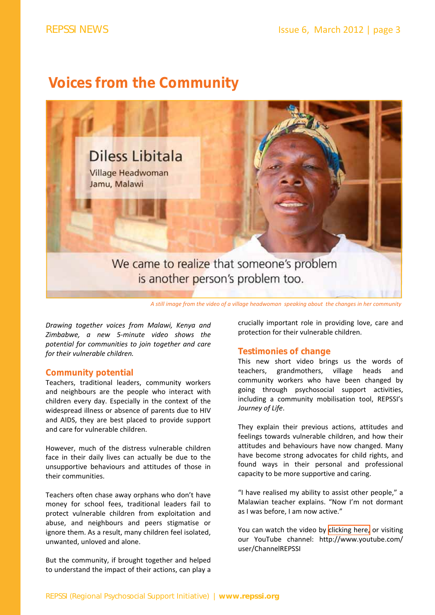### **Voices from the Community**



A still image from the video of a village headwoman speaking about the changes in her community

*Drawing together voices from Malawi, Kenya and Zimbabwe, a new 5‐minute video shows the potential for communities to join together and care for their vulnerable children.*

#### **Community potential**

Teachers, traditional leaders, community workers and neighbours are the people who interact with children every day. Especially in the context of the widespread illness or absence of parents due to HIV and AIDS, they are best placed to provide support and care for vulnerable children.

However, much of the distress vulnerable children face in their daily lives can actually be due to the unsupportive behaviours and attitudes of those in their communities.

Teachers often chase away orphans who don't have money for school fees, traditional leaders fail to protect vulnerable children from exploitation and abuse, and neighbours and peers stigmatise or ignore them. As a result, many children feel isolated, unwanted, unloved and alone.

But the community, if brought together and helped to understand the impact of their actions, can play a crucially important role in providing love, care and protection for their vulnerable children.

### **Testimonies of change**

This new short video brings us the words of teachers, grandmothers, village heads and community workers who have been changed by going through psychosocial support activities, including a community mobilisation tool, REPSSI's *Journey of Life*.

They explain their previous actions, attitudes and feelings towards vulnerable children, and how their attitudes and behaviours have now changed. Many have become strong advocates for child rights, and found ways in their personal and professional capacity to be more supportive and caring.

"I have realised my ability to assist other people," a Malawian teacher explains. "Now I'm not dormant as I was before, I am now active."

You can watch the video by [clicking](http://youtu.be/cy_m2Px7drU) here, or visiting our YouTube channel: http://www.youtube.com/ user/ChannelREPSSI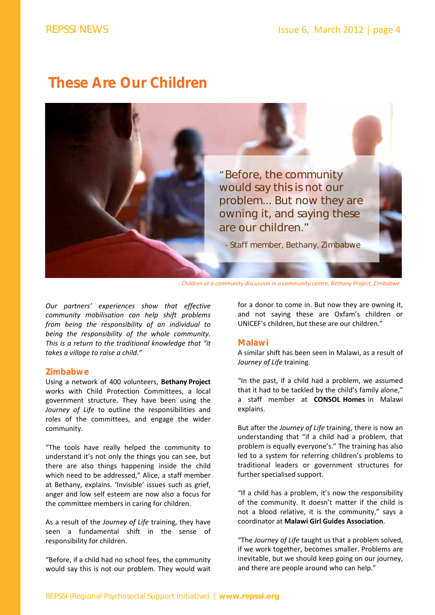### **These Are Our Children**



*Children at a community discussion in a community centre, Bethany Project, Zimbabwe*

*Our partners' experiences show that effective community mobilisation can help shift problems from being the responsibility of an individual to being the responsibility of the whole community. This is a return to the traditional knowledge that "it takes a village to raise a child."*

#### **Zimbabwe**

Using a network of 400 volunteers, **Bethany Project** works with Child Protection Committees, a local government structure. They have been using the *Journey of Life* to outline the responsibilities and roles of the committees, and engage the wider community.

"The tools have really helped the community to understand it's not only the things you can see, but there are also things happening inside the child which need to be addressed," Alice, a staff member at Bethany, explains. 'Invisible' issues such as grief, anger and low self esteem are now also a focus for the committee members in caring for children.

As a result of the *Journey of Life* training, they have seen a fundamental shift in the sense of responsibility for children.

"Before, if a child had no school fees, the community would say this is not our problem. They would wait for a donor to come in. But now they are owning it, and not saying these are Oxfam's children or UNICEF's children, but these are our children."

#### **Malawi**

A similar shift has been seen in Malawi, as a result of *Journey of Life* training.

"In the past, if a child had a problem, we assumed that it had to be tackled by the child's family alone," a staff member at **CONSOL Homes** in Malawi explains.

But after the *Journey of Life* training, there is now an understanding that "if a child had a problem, that problem is equally everyone's." The training has also led to a system for referring children's problems to traditional leaders or government structures for further specialised support.

"If a child has a problem, it's now the responsibility of the community. It doesn't matter if the child is not a blood relative, it is the community," says a coordinator at **Malawi Girl Guides Association**.

"The *Journey of Life* taught us that a problem solved, if we work together, becomes smaller. Problems are inevitable, but we should keep going on our journey, and there are people around who can help."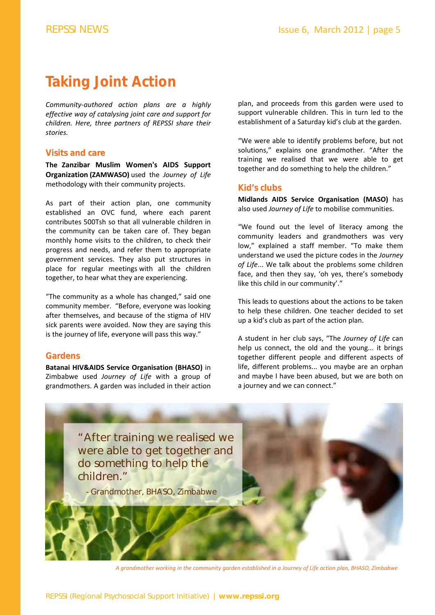# **Taking Joint Action**

*Community‐authored action plans are a highly effective way of catalysing joint care and support for children. Here, three partners of REPSSI share their stories.* 

#### **Visits and care**

**The Zanzibar Muslim Women's AIDS Support Organization (ZAMWASO)** used the *Journey of Life* methodology with their community projects.

As part of their action plan, one community established an OVC fund, where each parent contributes 500Tsh so that all vulnerable children in the community can be taken care of. They began monthly home visits to the children, to check their progress and needs, and refer them to appropriate government services. They also put structures in place for regular meetings with all the children together, to hear what they are experiencing.

"The community as a whole has changed," said one community member. "Before, everyone was looking after themselves, and because of the stigma of HIV sick parents were avoided. Now they are saying this is the journey of life, everyone will pass this way."

### **Gardens**

**Batanai HIV&AIDS Service Organisation (BHASO)** in Zimbabwe used *Journey of Life* with a group of grandmothers. A garden was included in their action

plan, and proceeds from this garden were used to support vulnerable children. This in turn led to the establishment of a Saturday kid's club at the garden.

"We were able to identify problems before, but not solutions," explains one grandmother. "After the training we realised that we were able to get together and do something to help the children."

### **Kid's clubs**

**Midlands AIDS Service Organisation (MASO)** has also used *Journey of Life* to mobilise communities.

"We found out the level of literacy among the community leaders and grandmothers was very low," explained a staff member. "To make them understand we used the picture codes in the *Journey of Life*... We talk about the problems some children face, and then they say, 'oh yes, there's somebody like this child in our community'."

This leads to questions about the actions to be taken to help these children. One teacher decided to set up a kid's club as part of the action plan.

A student in her club says, "The *Journey of Life* can help us connect, the old and the young... it brings together different people and different aspects of life, different problems... you maybe are an orphan and maybe I have been abused, but we are both on a journey and we can connect."



A grandmother working in the community garden established in a Journey of Life action plan, BHASO, Zimbabwe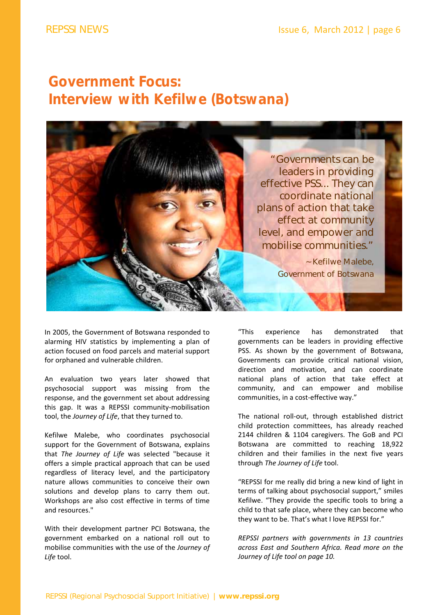# **Government Focus: Interview with Kefilwe (Botswana)**



In 2005, the Government of Botswana responded to alarming HIV statistics by implementing a plan of action focused on food parcels and material support for orphaned and vulnerable children.

An evaluation two years later showed that psychosocial support was missing from the response, and the government set about addressing this gap. It was a REPSSI community‐mobilisation tool, the *Journey of Life*, that they turned to.

Kefilwe Malebe, who coordinates psychosocial support for the Government of Botswana, explains that *The Journey of Life* was selected "because it offers a simple practical approach that can be used regardless of literacy level, and the participatory nature allows communities to conceive their own solutions and develop plans to carry them out. Workshops are also cost effective in terms of time and resources."

With their development partner PCI Botswana, the government embarked on a national roll out to mobilise communities with the use of the *Journey of Life* tool.

"This experience has demonstrated that governments can be leaders in providing effective PSS. As shown by the government of Botswana, Governments can provide critical national vision, direction and motivation, and can coordinate national plans of action that take effect at community, and can empower and mobilise communities, in a cost‐effective way."

The national roll‐out, through established district child protection committees, has already reached 2144 children & 1104 caregivers. The GoB and PCI Botswana are committed to reaching 18,922 children and their families in the next five years through *The Journey of Life* tool.

"REPSSI for me really did bring a new kind of light in terms of talking about psychosocial support," smiles Kefilwe. "They provide the specific tools to bring a child to that safe place, where they can become who they want to be. That's what I love REPSSI for."

*REPSSI partners with governments in 13 countries across East and Southern Africa. Read more on the Journey of Life tool on page 10.*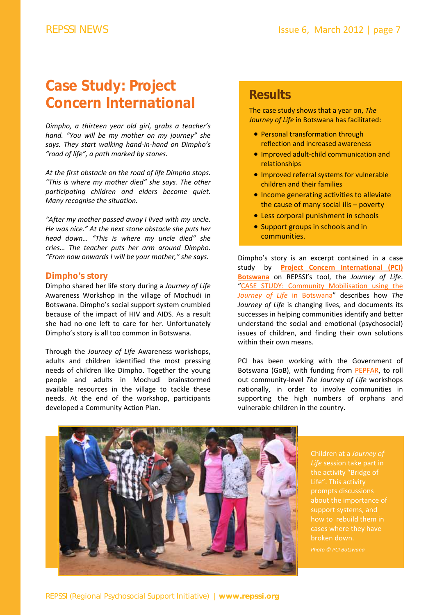# **Case Study: Project Concern International**

*Dimpho, a thirteen year old girl, grabs a teacher's hand. "You will be my mother on my journey" she says. They start walking hand‐in‐hand on Dimpho's "road of life", a path marked by stones.* 

*At the first obstacle on the road of life Dimpho stops. "This is where my mother died" she says. The other participating children and elders become quiet. Many recognise the situation.* 

*"After my mother passed away I lived with my uncle. He was nice." At the next stone obstacle she puts her head down… "This is where my uncle died" she cries… The teacher puts her arm around Dimpho. "From now onwards I will be your mother," she says.*

#### **Dimpho's story**

Dimpho shared her life story during a *Journey of Life* Awareness Workshop in the village of Mochudi in Botswana. Dimpho's social support system crumbled because of the impact of HIV and AIDS. As a result she had no‐one left to care for her. Unfortunately Dimpho's story is all too common in Botswana.

Through the *Journey of Life* Awareness workshops, adults and children identified the most pressing needs of children like Dimpho. Together the young people and adults in Mochudi brainstormed available resources in the village to tackle these needs. At the end of the workshop, participants developed a Community Action Plan.

### **Results**

The case study shows that a year on, *The Journey of Life* in Botswana has facilitated:

- Personal transformation through reflection and increased awareness
- Improved adult-child communication and relationships
- **.** Improved referral systems for vulnerable children and their families
- **.** Income generating activities to alleviate the cause of many social ills – poverty
- Less corporal punishment in schools
- Support groups in schools and in communities.

Dimpho's story is an excerpt contained in a case study by **Project Concern [International](http://www.pciglobal.org/) (PCI) Botswana** on REPSSI's tool, the *Journey of Life*. "CASE STUDY: Community [Mobilisation](http://www.repssi.org/?p=526&option=com_wordpress&Itemid=64) using the *Journey of Life* in Botswana" describes how *The Journey of Life* is changing lives, and documents its successes in helping communities identify and better understand the social and emotional (psychosocial) issues of children, and finding their own solutions within their own means.

PCI has been working with the Government of Botswana (GoB), with funding from [PEPFAR,](http://www.pepfar.gov) to roll out community‐level *The Journey of Life* workshops nationally, in order to involve communities in supporting the high numbers of orphans and vulnerable children in the country.



Children at a *Journey of Life* session take part in the activity "Bridge of Life". This activity about the importance of support systems, and cases where they have

*Photo © PCI Botswana*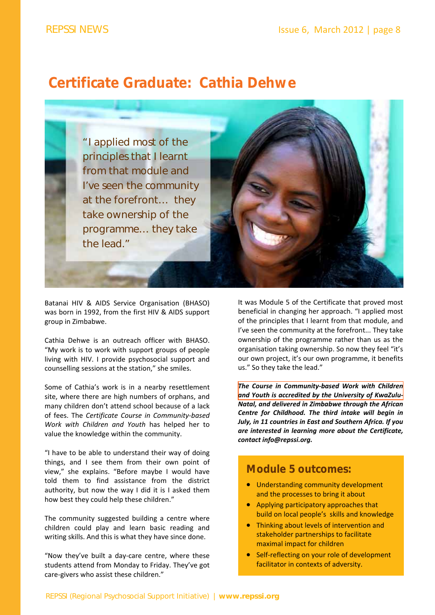### **Certificate Graduate: Cathia Dehwe**

"I applied most of the principles that I learnt from that module and I've seen the community at the forefront… they take ownership of the programme… they take the lead."

Batanai HIV & AIDS Service Organisation (BHASO) was born in 1992, from the first HIV & AIDS support group in Zimbabwe.

Cathia Dehwe is an outreach officer with BHASO. "My work is to work with support groups of people living with HIV. I provide psychosocial support and counselling sessions at the station," she smiles.

Some of Cathia's work is in a nearby resettlement site, where there are high numbers of orphans, and many children don't attend school because of a lack of fees. The *Certificate Course in Community‐based Work with Children and Youth* has helped her to value the knowledge within the community.

"I have to be able to understand their way of doing things, and I see them from their own point of view," she explains. "Before maybe I would have told them to find assistance from the district authority, but now the way I did it is I asked them how best they could help these children."

The community suggested building a centre where children could play and learn basic reading and writing skills. And this is what they have since done.

"Now they've built a day‐care centre, where these students attend from Monday to Friday. They've got care‐givers who assist these children."



*The Course in [Community](http://www.repssi.org/index.php?option=com_content&view=article&id=131&Itemid=83)‐based Work with Children and Youth is accredited by the University of KwaZulu‐ Natal, and delivered in Zimbabwe through the African Centre for Childhood. The third intake will begin in July, in 11 countries in East and Southern Africa. If you are interested in learning more about the Certificate, contact info@repssi.org.* 

### **Module 5 outcomes:**

- Understanding community development and the processes to bring it about
- Applying participatory approaches that build on local people's skills and knowledge
- stakeholder participality to radiitate<br>maximal impact for children Thinking about levels of intervention and stakeholder partnerships to facilitate
- Self-reflecting on your role of development facilitator in contexts of adversity.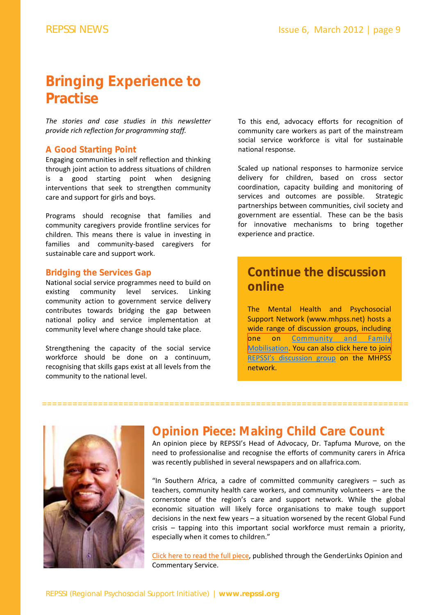# **Bringing Experience to Practise**

*The stories and case studies in this newsletter provide rich reflection for programming staff.*

#### **A Good Starting Point**

Engaging communities in self reflection and thinking through joint action to address situations of children is a good starting point when designing interventions that seek to strengthen community care and support for girls and boys.

Programs should recognise that families and community caregivers provide frontline services for children. This means there is value in investing in families and community‐based caregivers for sustainable care and support work.

#### **Bridging the Services Gap**

National social service programmes need to build on existing community level services. Linking community action to government service delivery contributes towards bridging the gap between national policy and service implementation at community level where change should take place.

Strengthening the capacity of the social service workforce should be done on a continuum, recognising that skills gaps exist at all levels from the community to the national level.

To this end, advocacy efforts for recognition of community care workers as part of the mainstream social service workforce is vital for sustainable national response.

Scaled up national responses to harmonize service delivery for children, based on cross sector coordination, capacity building and monitoring of services and outcomes are possible. Strategic partnerships between communities, civil society and government are essential. These can be the basis for innovative mechanisms to bring together experience and practice.

### **Continue the discussion online**

The Mental Health and Psychosocial Support Network (www.mhpss.net) hosts a wide range of discussion groups, including one on Community and Family [Mobilisation.](http://mhpss.net/groups/community-mobilizing-and-family-support/) You can also click here to join REPSSI's [discussion](http://mhpss.net/groups/organizations-networks-and-professional-associations/repssi/) group on the MHPSS network.



### **Opinion Piece: Making Child Care Count**

========================================================================

An opinion piece by REPSSI's Head of Advocacy, Dr. Tapfuma Murove, on the need to professionalise and recognise the efforts of community carers in Africa was recently published in several newspapers and on allafrica.com.

"In Southern Africa, a cadre of committed community caregivers – such as teachers, community health care workers, and community volunteers – are the cornerstone of the region's care and support network. While the global economic situation will likely force organisations to make tough support decisions in the next few years – a situation worsened by the recent Global Fund crisis – tapping into this important social workforce must remain a priority, especially when it comes to children."

Click here to read the full [piece,](http://www.genderlinks.org.za/article/making-care-count-in-southern-africa-2011-11-30) published through the GenderLinks Opinion and Commentary Service.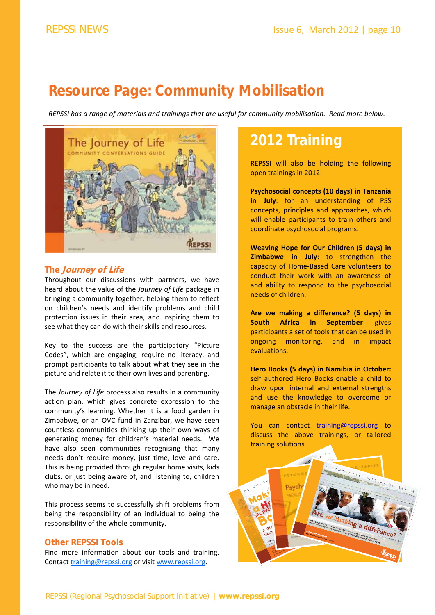# **Resource Page: Community Mobilisation**

REPSSI has a range of materials and trainings that are useful for community mobilisation. Read more below.



### **The Journey of Life**

Throughout our discussions with partners, we have heard about the value of the *Journey of Life* package in bringing a community together, helping them to reflect on children's needs and identify problems and child protection issues in their area, and inspiring them to see what they can do with their skills and resources.

Key to the success are the participatory "Picture Codes", which are engaging, require no literacy, and prompt participants to talk about what they see in the picture and relate it to their own lives and parenting.

The *Journey of Life* process also results in a community action plan, which gives concrete expression to the community's learning. Whether it is a food garden in Zimbabwe, or an OVC fund in Zanzibar, we have seen countless communities thinking up their own ways of generating money for children's material needs. We have also seen communities recognising that many needs don't require money, just time, love and care. This is being provided through regular home visits, kids clubs, or just being aware of, and listening to, children who may be in need.

This process seems to successfully shift problems from being the responsibility of an individual to being the responsibility of the whole community.

### **Other REPSSI Tools**

Find more information about our tools and training. Contact training@repssi.org or visit www.repssi.org.

# **2012 Training**

REPSSI will also be holding the following open trainings in 2012:

**Psychosocial concepts (10 days) in Tanzania in July**: for an understanding of PSS concepts, principles and approaches, which will enable participants to train others and coordinate psychosocial programs.

**Weaving Hope for Our Children (5 days) in Zimbabwe in July**: to strengthen the capacity of Home‐Based Care volunteers to conduct their work with an awareness of and ability to respond to the psychosocial needs of children.

**Are we making a difference? (5 days) in South Africa in September**: gives participants a set of tools that can be used in ongoing monitoring, and in impact evaluations.

**Hero Books (5 days) in Namibia in October:** self authored Hero Books enable a child to draw upon internal and external strengths and use the knowledge to overcome or manage an obstacle in their life.

You can contact training@repssi.org to discuss the above trainings, or tailored training solutions.

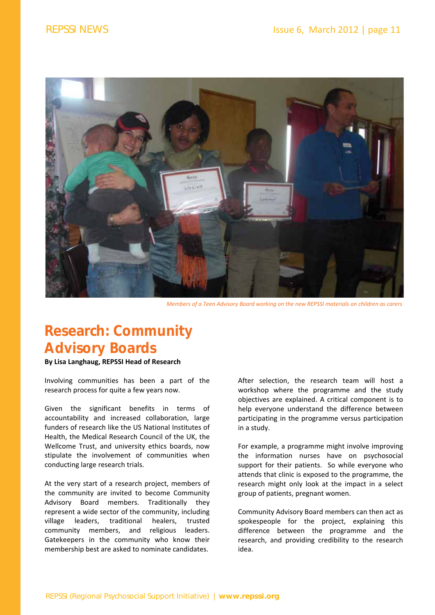

*Members of a Teen Advisory Board working on the new REPSSI materials on children as carers* 

# **Research: Community Advisory Boards**

**By Lisa Langhaug, REPSSI Head of Research**

Involving communities has been a part of the research process for quite a few years now.

Given the significant benefits in terms of accountability and increased collaboration, large funders of research like the US National Institutes of Health, the Medical Research Council of the UK, the Wellcome Trust, and university ethics boards, now stipulate the involvement of communities when conducting large research trials.

At the very start of a research project, members of the community are invited to become Community Advisory Board members. Traditionally they represent a wide sector of the community, including village leaders, traditional healers, trusted community members, and religious leaders. Gatekeepers in the community who know their membership best are asked to nominate candidates.

After selection, the research team will host a workshop where the programme and the study objectives are explained. A critical component is to help everyone understand the difference between participating in the programme versus participation in a study.

For example, a programme might involve improving the information nurses have on psychosocial support for their patients. So while everyone who attends that clinic is exposed to the programme, the research might only look at the impact in a select group of patients, pregnant women.

Community Advisory Board members can then act as spokespeople for the project, explaining this difference between the programme and the research, and providing credibility to the research idea.